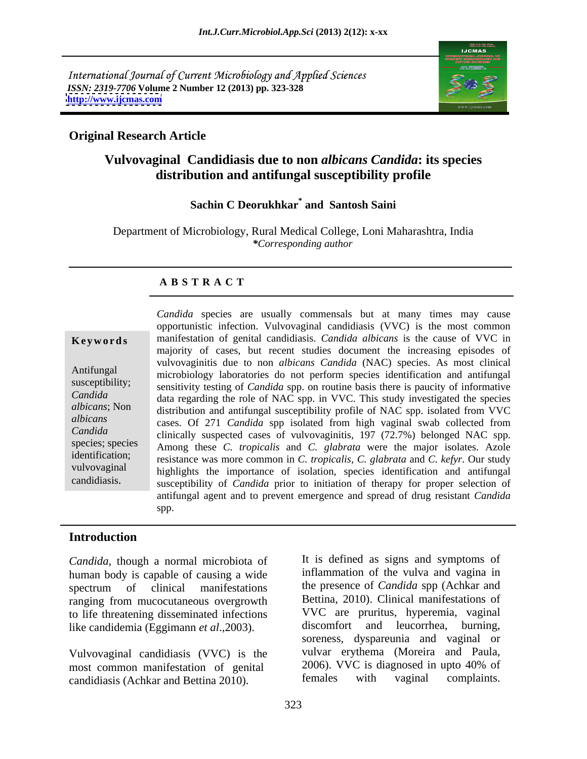International Journal of Current Microbiology and Applied Sciences *ISSN: 2319-7706* **Volume 2 Number 12 (2013) pp. 323-328 <http://www.ijcmas.com>**



# **Original Research Article**

# **Vulvovaginal Candidiasis due to non** *albicans Candida***: its species distribution and antifungal susceptibility profile**

## **Sachin C Deorukhkar\* and Santosh Saini**

Department of Microbiology, Rural Medical College, Loni Maharashtra, India *\*Corresponding author* 

## **A B S T R A C T**

**Ke ywo rds** manifestation of genital candidiasis.*Candida albicans* is the cause of VVC in Antifungal microbiology laboratories do not perform species identification and antifungal susceptibility; sensitivity testing of *Candida* spp. on routine basis there is paucity of informative *Candida*  data regarding the role of NAC spp. in VVC. This study investigated the species *albicans*; Non distribution and antifungal susceptibility profile of NAC spp. isolated from VVC *albicans*  cases. Of 271 *Candida* spp isolated from high vaginal swab collected from *Candida* clinically suspected cases of vulvovaginitis, 197 (72.7%) belonged NAC spp. species; species Among these *C. tropicalis* and *C. glabrata* were the major isolates. Azole identification; resistance was more common in *C. tropicalis*, *C. glabrata* and *C. kefyr*. Our study vulvovaginal highlights the importance of isolation, species identification and antifungal Candida species are usually commensals but at many times may cause<br>opportunistic infection. Vulvovaginal candidaisis. (VVC) is the most common<br>mainfestation of genital candidaisis. Candida albicans is the cause of VVC in<br>m opportunistic infection. Vulvovaginal candidiasis (VVC) is the most common majority of cases, but recent studies document the increasing episodes of vulvovaginitis due to non *albicans Candida* (NAC) species. As most clinical susceptibility of *Candida* prior to initiation of therapy for proper selection of antifungal agent and to prevent emergence and spread of drug resistant *Candida*  spp.

### **Introduction**

*Candida*, though a normal microbiota of human body is capable of causing a wide ranging from mucocutaneous overgrowth to life threatening disseminated infections  $\frac{VVC}{VCC}$  are pruritus, hyperemia, vaginal<br>like candidemia (Fooimann *et al.* 2003) discomfort and leucorrhea, burning, like candidemia (Eggimann *et al*.,2003).

candidiasis (Achkar and Bettina 2010).

spectrum of clinical manifestations the presence of *Candida* spp (Achkar and Vulvovaginal candidiasis (VVC) is the vulvar erythema (Moreira and Paula,<br>most common manifestation of genital 2006). VVC is diagnosed in upto 40% of most common manifestation of genital and 2006). VVC is diagnosed in upto 40% of candidiasis (Achkar and Bettina 2010) females with vaginal complaints. It is defined as signs and symptoms of inflammation of the vulva and vagina in the presence of *Candida* spp (Achkar and Bettina, 2010). Clinical manifestations of VVC are pruritus, hyperemia, vaginal discomfort and leucorrhea, burning, soreness, dyspareunia and vaginal or vulvar erythema (Moreira and Paula, 2006). VVC is diagnosed in upto 40% of females with vaginal complaints.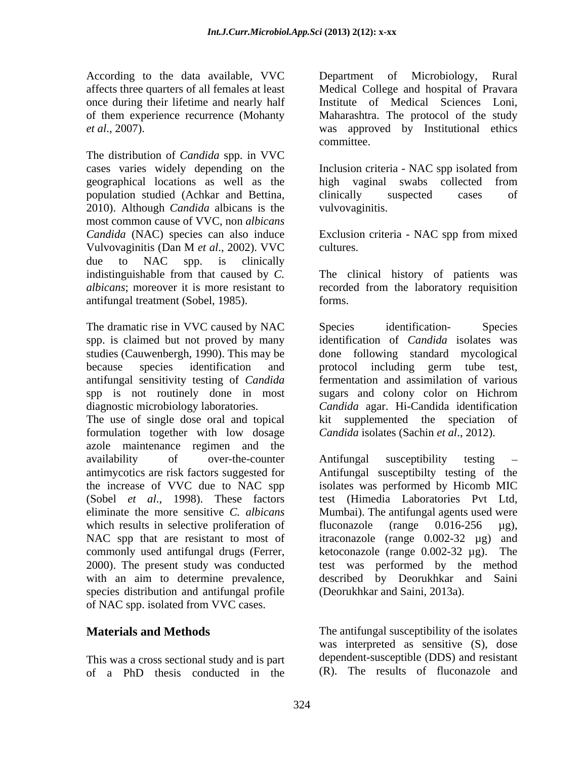According to the data available, VVC

The distribution of *Candida* spp. in VVC cases varies widely depending on the Inclusion criteria - NAC spp isolated from geographical locations as well as the population studied (Achkar and Bettina, 2010). Although *Candida* albicans is the most common cause of VVC, non *albicans Candida* (NAC) species can also induce Exclusion criteria - NAC spp from mixed Vulvovaginitis (Dan M *et al*., 2002). VVC due to NAC spp. is clinically indistinguishable from that caused by *C.*  The clinical history of patients was *albicans*; moreover it is more resistant to recorded from the laboratory requisition antifungal treatment (Sobel, 1985).

The dramatic rise in VVC caused by NAC Species identification- Species spp. is claimed but not proved by many because species identification and protocol including germ tube test, spp is not routinely done in most sugars and colony color on Hichrom

formulation together with low dosage azole maintenance regimen and the the increase of VVC due to NAC spp eliminate the more sensitive *C. albicans* which results in selective proliferation of fluconazole (range  $0.016-256 \text{ }\mu\text{g}$ ), species distribution and antifungal profile of NAC spp. isolated from VVC cases.

This was a cross sectional study and is part of a PhD thesis conducted in the

affects three quarters of all females at least Medical College and hospital of Pravara once during their lifetime and nearly half Institute of Medical Sciences Loni, of them experience recurrence (Mohanty Maharashtra. The protocol of the study *et al*., 2007). was approved by Institutional ethics Department of committee.

> high vaginal swabs collected from clinically suspected cases of vulvovaginitis.

cultures.

forms.

studies (Cauwenbergh, 1990). This may be done following standard mycological antifungal sensitivity testing of *Candida*  fermentation and assimilation of various diagnostic microbiology laboratories. *Candida* agar. Hi-Candida identification The use of single dose oral and topical kit supplemented the speciation of Species identification- Species identification of *Candida* isolates was protocol including germ tube test, sugars and colony color on Hichrom *Candida* isolates (Sachin *et al*., 2012).

availability of over-the-counter Antifungal susceptibility testing – antimycotics are risk factors suggested for Antifungal susceptibilty testing of the (Sobel *et al*., 1998). These factors test (Himedia Laboratories Pvt Ltd, NAC spp that are resistant to most of itraconazole (range 0.002-32 µg) and commonly used antifungal drugs (Ferrer, ketoconazole (range 0.002-32 µg). The 2000). The present study was conducted test was performed by the method with an aim to determine prevalence, described by Deorukhkar and Saini Antifungal susceptibility testing isolates was performed by Hicomb MIC Mumbai). The antifungal agents used were fluconazole (range 0.016-256 µg), (Deorukhkar and Saini, 2013a).

**Materials and Methods** The antifungal susceptibility of the isolates was interpreted as sensitive (S), dose dependent-susceptible (DDS) and resistant (R). The results of fluconazole and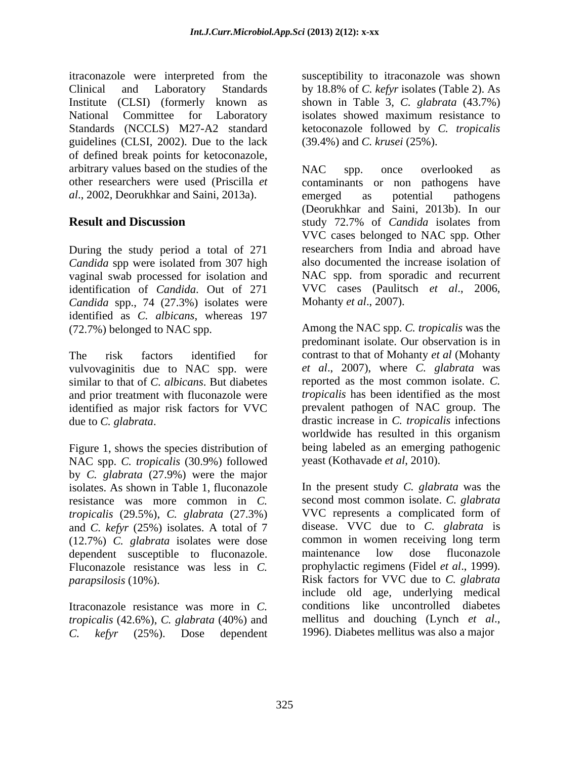itraconazole were interpreted from the Clinical and Laboratory Standards by 18.8% of *C. kefyr* isolates (Table 2). As Institute (CLSI) (formerly known as shown in Table 3, *C. glabrata* (43.7%) National Committee for Laboratory isolates showed maximum resistance to Standards (NCCLS) M27-A2 standard ketoconazole followed by *C. tropicalis* guidelines (CLSI, 2002). Due to the lack of defined break points for ketoconazole, arbitrary values based on the studies of the NAC spp. once overlooked as *al*., 2002, Deorukhkar and Saini, 2013a).

During the study period a total of 271 *Candida* spp were isolated from 307 high vaginal swab processed for isolation and identification of *Candida*. Out of 271 *Candida* spp., 74 (27.3%) isolates were Mohanty *et al.*, 2007). identified as *C. albicans*, whereas 197 (72.7%) belonged to NAC spp. Among the NAC spp. C. tropicalis was the

vulvovaginitis due to NAC spp. were similar to that of *C. albicans*. But diabetes and prior treatment with fluconazole were

NAC spp. *C. tropicalis* (30.9%) followed by *C. glabrata* (27.9%) were the major resistance was more common in *C. tropicalis* (29.5%), *C. glabrata* (27.3%) (12.7%) *C. glabrata* isolates were dose common in women receiving long term<br>dependent susceptible to fluconazole maintenance low dose fluconazole dependent susceptible to fluconazole. Fluconazole resistance was less in *C*. prophylactic regimens (Fidel *et al.*, 1999). *parapsilosis* (10%). Risk factors for VVC due to C. glabrata

Itraconazole resistance was more in *C*. conditions like uncontrolled diabetes *tronicalis* (42.6%). *C. plabrata* (40%) and mellitus and douching (Lynch *et al.*, *tropicalis* (42.6%), *C. glabrata* (40%) and *C. kefyr* (25%). Dose dependent

susceptibility to itraconazole was shown (39.4%) and *C. krusei* (25%).

other researchers were used (Priscilla *et*  contaminants or non pathogens have **Result and Discussion** study 72.7% of *Candida* isolates from NAC spp. once overlooked as emerged as potential pathogens (Deorukhkar and Saini, 2013b). In our VVC cases belonged to NAC spp. Other researchers from India and abroad have also documented the increase isolation of NAC spp. from sporadic and recurrent VVC cases (Paulitsch *et al*., 2006,

The risk factors identified for contrast to that of Mohanty *et al* (Mohanty identified as major risk factors for VVC prevalent pathogen of NAC group. The due to *C. glabrata*.<br>
Figure 1, shows the species distribution of being labeled as an emerging pathogenic Mohanty *et al*., 2007). Among the NAC spp. *C. tropicalis* was the predominant isolate. Our observation is in *et al*., 2007), where *C. glabrata* was reported as the most common isolate. *C. tropicalis* has been identified as the most drastic increase in *C. tropicalis* infections worldwide has resulted in this organism being labeled as an emerging pathogenic yeast (Kothavade *et al*, 2010).

isolates. As shown in Table 1, fluconazole In the present study *C. glabrata* was the and *C. kefyr* (25%) isolates. A total of 7 disease. VVC due to *C. glabrata* is second most common isolate. *C. glabrata* VVC represents a complicated form of common in women receiving long term maintenance low dose fluconazole prophylactic regimens (Fidel *et al*., 1999). Risk factors for VVC due to *C. glabrata* include old age, underlying medical conditions like uncontrolled diabetes mellitus and douching (Lynch *et al*., 1996). Diabetes mellitus was also a major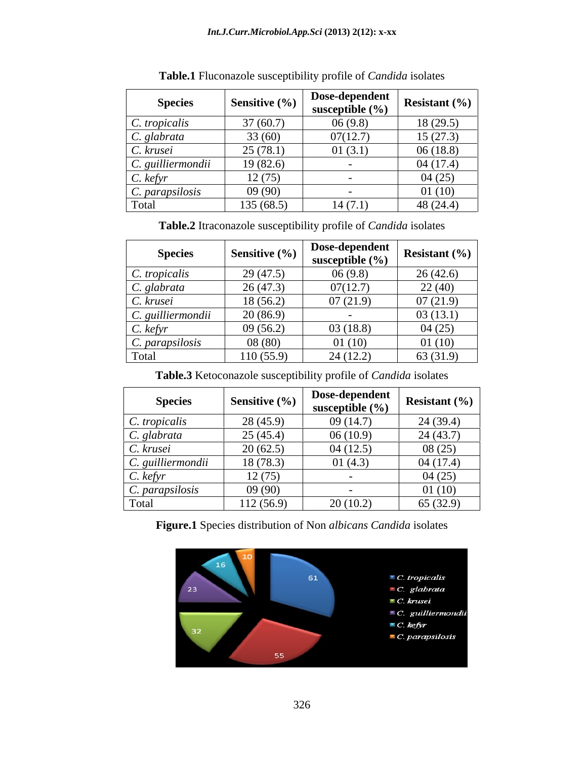| <b>Species</b>            | Sensitive $(\% )$ | Dose-dependent<br>susceptible $(\% )$ | <b>Resistant</b> $(\% )$ |
|---------------------------|-------------------|---------------------------------------|--------------------------|
| C. tropicalis             | 37(60.7)          | 06(9.8)                               | 18(29.5)                 |
| C. glabrata               | 33(60)            | 07(12.7)                              | 15(27.3)                 |
| $C.$ krusei               | 25(78.1)          | 01(3.1)                               | 06(18.8)                 |
| $\vert$ C. guilliermondii | 19(82.6)          |                                       | 04(17.4)                 |
| $C.$ kefyr                | 12(75)            |                                       | 04(25)                   |
| $\mid$ C. parapsilosis    | 09(90)            |                                       | 01(10)                   |
| Total                     | 135 (68.5)        | 14(7.1)                               | 48 $(24.4)$              |

**Table.1** Fluconazole susceptibility profile of *Candida* isolates

**Table.2** Itraconazole susceptibility profile of *Candida* isolates

| <b>Species</b>            | Sensitive $(\% )$ | Dose-dependent<br>susceptible $(\% )$ | Resistant $(\% )$ |
|---------------------------|-------------------|---------------------------------------|-------------------|
| $C.$ tropicalis           | 29(47.5)          | 06(9.8)                               | 26(42.6)          |
| C. glabrata               | 26(47.3)          | 07(12.7)                              | 22(40)            |
| $C.$ krusei               | 18(56.2)          | 07(21.9)                              | 07(21.9)          |
| $\vert$ C. guilliermondii | 20(86.9)          | $\overline{\phantom{a}}$              | 03(13.1)          |
| $C.$ kefyr                | 09(56.2)          | 03(18.8)                              | 04(25)            |
| $\mid$ C. parapsilosis    | 08(80)            | 01(10)                                | 01(10)            |
| Total                     | 10(55.9)          | 24(12.2)                              | 63 (31.9)         |

**Table.3** Ketoconazole susceptibility profile of *Candida* isolates

| <b>Species</b>           | <b>Sensitive</b> $(\% )$ | Dose-dependent<br>susceptible $(\% )$ | <b>Resistant</b> $(\% )$ |
|--------------------------|--------------------------|---------------------------------------|--------------------------|
| $\mid$ C. tropicalis     | 28(45.9)                 | 09(14.7)                              | 24(39.4)                 |
| $\mid$ C. glabrata       | 25(45.4)                 | 06(10.9)                              | 24(43.7)                 |
| C. krusei                | 20(62.5)                 | 04(12.5)                              | 08(25)                   |
| $\mid$ C. guilliermondii | 18(78.3)                 | 01(4.3)                               | 04(17.4)                 |
| $C.$ kefyr               | 12(75)                   |                                       | 04(25)                   |
| $\mid$ C. parapsilosis   | 09(90)                   |                                       | 01(10)                   |
| Total                    | 12 (56.9)                | 20(10.2)                              | 65(32.9)                 |

**Figure.1** Species distribution of Non *albicans Candida* isolates

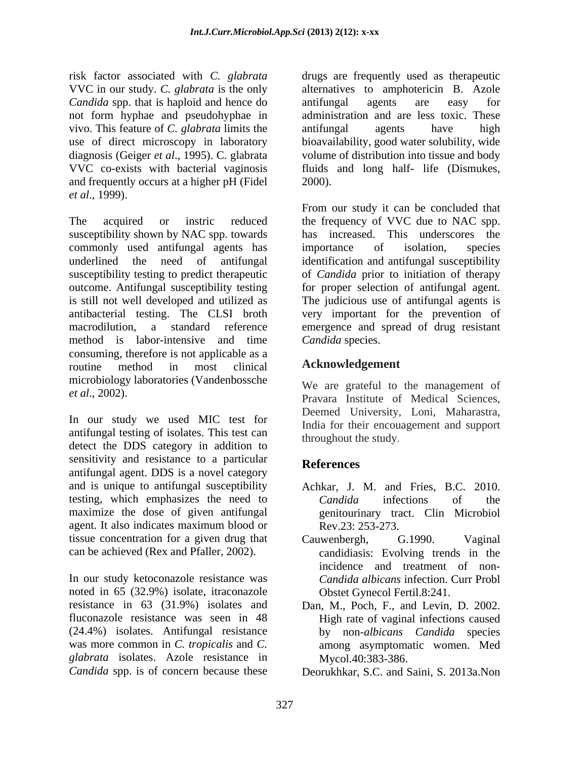risk factor associated with *C. glabrata* VVC in our study. *C. glabrata* is the only *Candida* spp. that is haploid and hence do antifungal agents are easy for vivo. This feature of *C. glabrata* limits the and frequently occurs at a higher pH (Fidel *et al*., 1999).

The acquired or instric reduced the frequency of VVC due to NAC spp. susceptibility shown by NAC spp. towards commonly used antifungal agents has importance of isolation, species underlined the need of antifungal identification and antifungal susceptibility underlined the need of antifungal identification and antifungal susceptibility susceptibility testing to predict therapeutic of *Candida* prior to initiation of therapy outcome. Antifungal susceptibility testing for proper selection of antifungal agent. is still not well developed and utilized as The judicious use of antifungal agents is antibacterial testing. The CLSI broth very important for the prevention of macrodilution, a standard reference emergence and spread of drug resistant method is labor-intensive and time consuming, therefore is not applicable as a routine method in most clinical **ACKnowledgement** microbiology laboratories (Vandenbossche

In our study we used MIC test for antifungal testing of isolates. This test can detect the DDS category in addition to sensitivity and resistance to a particular References antifungal agent. DDS is a novel category and is unique to antifungal susceptibility testing, which emphasizes the need to Candida infections of the maximize the dose of given antifungal agent. It also indicates maximum blood or tissue concentration for a given drug that Cauwenbergh, G.1990. Vaginal

In our study ketoconazole resistance was noted in 65 (32.9%) isolate, itraconazole resistance in 63 (31.9%) isolates and Dan, M., Poch, F., and Levin, D. 2002. fluconazole resistance was seen in 48 High rate of vaginal infections caused (24.4%) isolates. Antifungal resistance by non-*albicans Candida* species was more common in *C. tropicalis* and *C.* among asymptomatic women. Med *glabrata* isolates. Azole resistance in

not form hyphae and pseudohyphae in administration and are less toxic. These use of direct microscopy in laboratory bioavailability, good water solubility, wide diagnosis (Geiger *et al*., 1995). C. glabrata volume of distribution into tissue and body VVC co-exists with bacterial vaginosis fluids and long half- life (Dismukes, drugs are frequently used as therapeutic alternatives to amphotericin B. Azole antifungal agents are easy for antifungal agents have high 2000).

> From our study it can be concluded that has increased. This underscores the importance of isolation, species *Candida* species.

# **Acknowledgement**

*et al*., 2002). Pravara Institute of Medical Sciences, We are grateful to the management of Deemed University, Loni, Maharastra, India for their encouagement and support throughout the study.

# **References**

- Achkar, J. M. and Fries, B.C. 2010. *Candida* infections of the genitourinary tract. Clin Microbiol Rev.23: 253-273.
- can be achieved (Rex and Pfaller, 2002). candidiasis: Evolving trends in the Cauwenbergh, G.1990. Vaginal incidence and treatment of non- *Candida albicans* infection. Curr Probl Obstet Gynecol Fertil.8:241.
	- Mycol.40:383-386.

*Candida* spp. is of concern because these Deorukhkar, S.C. and Saini, S. 2013a.Non